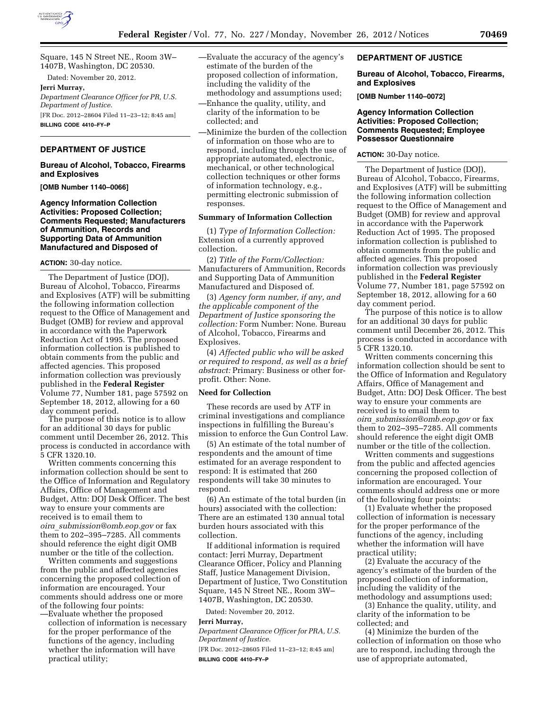

Square, 145 N Street NE., Room 3W– 1407B, Washington, DC 20530.

Dated: November 20, 2012.

# **Jerri Murray,**

*Department Clearance Officer for PR, U.S. Department of Justice.*  [FR Doc. 2012–28604 Filed 11–23–12; 8:45 am] **BILLING CODE 4410–FY–P** 

## **DEPARTMENT OF JUSTICE**

#### **Bureau of Alcohol, Tobacco, Firearms and Explosives**

**[OMB Number 1140–0066]** 

#### **Agency Information Collection Activities: Proposed Collection; Comments Requested; Manufacturers of Ammunition, Records and Supporting Data of Ammunition Manufactured and Disposed of**

#### **ACTION:** 30-day notice.

The Department of Justice (DOJ), Bureau of Alcohol, Tobacco, Firearms and Explosives (ATF) will be submitting the following information collection request to the Office of Management and Budget (OMB) for review and approval in accordance with the Paperwork Reduction Act of 1995. The proposed information collection is published to obtain comments from the public and affected agencies. This proposed information collection was previously published in the **Federal Register**  Volume 77, Number 181, page 57592 on September 18, 2012, allowing for a 60 day comment period.

The purpose of this notice is to allow for an additional 30 days for public comment until December 26, 2012. This process is conducted in accordance with 5 CFR 1320.10.

Written comments concerning this information collection should be sent to the Office of Information and Regulatory Affairs, Office of Management and Budget, Attn: DOJ Desk Officer. The best way to ensure your comments are received is to email them to *oira*\_*[submission@omb.eop.gov](mailto:oira_submission@omb.eop.gov)* or fax them to 202–395–7285. All comments should reference the eight digit OMB number or the title of the collection.

Written comments and suggestions from the public and affected agencies concerning the proposed collection of information are encouraged. Your comments should address one or more of the following four points:

—Evaluate whether the proposed collection of information is necessary for the proper performance of the functions of the agency, including whether the information will have practical utility;

- —Evaluate the accuracy of the agency's estimate of the burden of the proposed collection of information, including the validity of the methodology and assumptions used; —Enhance the quality, utility, and
- clarity of the information to be collected; and
- —Minimize the burden of the collection of information on those who are to respond, including through the use of appropriate automated, electronic, mechanical, or other technological collection techniques or other forms of information technology, e.g., permitting electronic submission of responses.

## **Summary of Information Collection**

(1) *Type of Information Collection:*  Extension of a currently approved collection.

(2) *Title of the Form/Collection:*  Manufacturers of Ammunition, Records and Supporting Data of Ammunition Manufactured and Disposed of.

(3) *Agency form number, if any, and the applicable component of the Department of Justice sponsoring the collection:* Form Number: None. Bureau of Alcohol, Tobacco, Firearms and Explosives.

(4) *Affected public who will be asked or required to respond, as well as a brief abstract:* Primary: Business or other forprofit. Other: None.

#### **Need for Collection**

These records are used by ATF in criminal investigations and compliance inspections in fulfilling the Bureau's mission to enforce the Gun Control Law.

(5) An estimate of the total number of respondents and the amount of time estimated for an average respondent to respond: It is estimated that 260 respondents will take 30 minutes to respond.

(6) An estimate of the total burden (in hours) associated with the collection: There are an estimated 130 annual total burden hours associated with this collection.

If additional information is required contact: Jerri Murray, Department Clearance Officer, Policy and Planning Staff, Justice Management Division, Department of Justice, Two Constitution Square, 145 N Street NE., Room 3W– 1407B, Washington, DC 20530.

Dated: November 20, 2012.

#### **Jerri Murray,**

*Department Clearance Officer for PRA, U.S. Department of Justice.* 

[FR Doc. 2012–28605 Filed 11–23–12; 8:45 am] **BILLING CODE 4410–FY–P** 

## **DEPARTMENT OF JUSTICE**

#### **Bureau of Alcohol, Tobacco, Firearms, and Explosives**

**[OMB Number 1140–0072]** 

## **Agency Information Collection Activities: Proposed Collection; Comments Requested; Employee Possessor Questionnaire**

#### **ACTION:** 30-Day notice.

The Department of Justice (DOJ), Bureau of Alcohol, Tobacco, Firearms, and Explosives (ATF) will be submitting the following information collection request to the Office of Management and Budget (OMB) for review and approval in accordance with the Paperwork Reduction Act of 1995. The proposed information collection is published to obtain comments from the public and affected agencies. This proposed information collection was previously published in the **Federal Register**  Volume 77, Number 181, page 57592 on September 18, 2012, allowing for a 60 day comment period.

The purpose of this notice is to allow for an additional 30 days for public comment until December 26, 2012. This process is conducted in accordance with 5 CFR 1320.10.

Written comments concerning this information collection should be sent to the Office of Information and Regulatory Affairs, Office of Management and Budget, Attn: DOJ Desk Officer. The best way to ensure your comments are received is to email them to *oira*\_*[submission@omb.eop.gov](mailto:oira_submission@omb.eop.gov)* or fax them to 202–395–7285. All comments should reference the eight digit OMB number or the title of the collection.

Written comments and suggestions from the public and affected agencies concerning the proposed collection of information are encouraged. Your comments should address one or more of the following four points:

(1) Evaluate whether the proposed collection of information is necessary for the proper performance of the functions of the agency, including whether the information will have practical utility;

(2) Evaluate the accuracy of the agency's estimate of the burden of the proposed collection of information, including the validity of the methodology and assumptions used;

(3) Enhance the quality, utility, and clarity of the information to be collected; and

(4) Minimize the burden of the collection of information on those who are to respond, including through the use of appropriate automated,